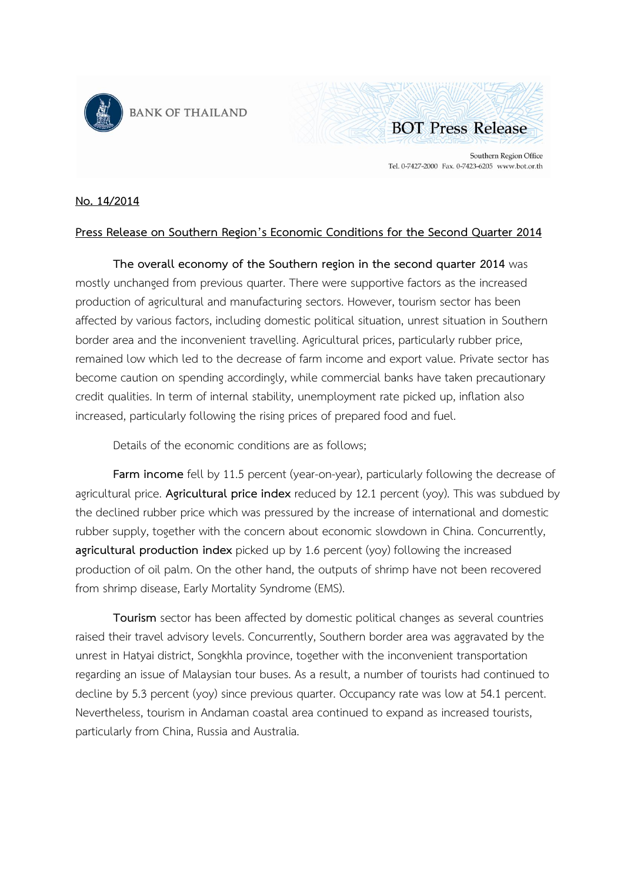



Southern Region Office Tel. 0-7427-2000 Fax. 0-7423-6205 www.bot.or.th

## **No. 14/2014**

## **Press Release on Southern Region's Economic Conditions for the Second Quarter 2014**

**The overall economy of the Southern region in the second quarter 2014** was mostly unchanged from previous quarter. There were supportive factors as the increased production of agricultural and manufacturing sectors. However, tourism sector has been affected by various factors, including domestic political situation, unrest situation in Southern border area and the inconvenient travelling. Agricultural prices, particularly rubber price, remained low which led to the decrease of farm income and export value. Private sector has become caution on spending accordingly, while commercial banks have taken precautionary credit qualities. In term of internal stability, unemployment rate picked up, inflation also increased, particularly following the rising prices of prepared food and fuel.

Details of the economic conditions are as follows;

**Farm income** fell by 11.5 percent (year-on-year), particularly following the decrease of agricultural price. **Agricultural price index** reduced by 12.1 percent (yoy). This was subdued by the declined rubber price which was pressured by the increase of international and domestic rubber supply, together with the concern about economic slowdown in China. Concurrently, **agricultural production index** picked up by 1.6 percent (yoy) following the increased production of oil palm. On the other hand, the outputs of shrimp have not been recovered from shrimp disease, Early Mortality Syndrome (EMS).

**Tourism** sector has been affected by domestic political changes as several countries raised their travel advisory levels. Concurrently, Southern border area was aggravated by the unrest in Hatyai district, Songkhla province, together with the inconvenient transportation regarding an issue of Malaysian tour buses. As a result, a number of tourists had continued to decline by 5.3 percent (yoy) since previous quarter. Occupancy rate was low at 54.1 percent. Nevertheless, tourism in Andaman coastal area continued to expand as increased tourists, particularly from China, Russia and Australia.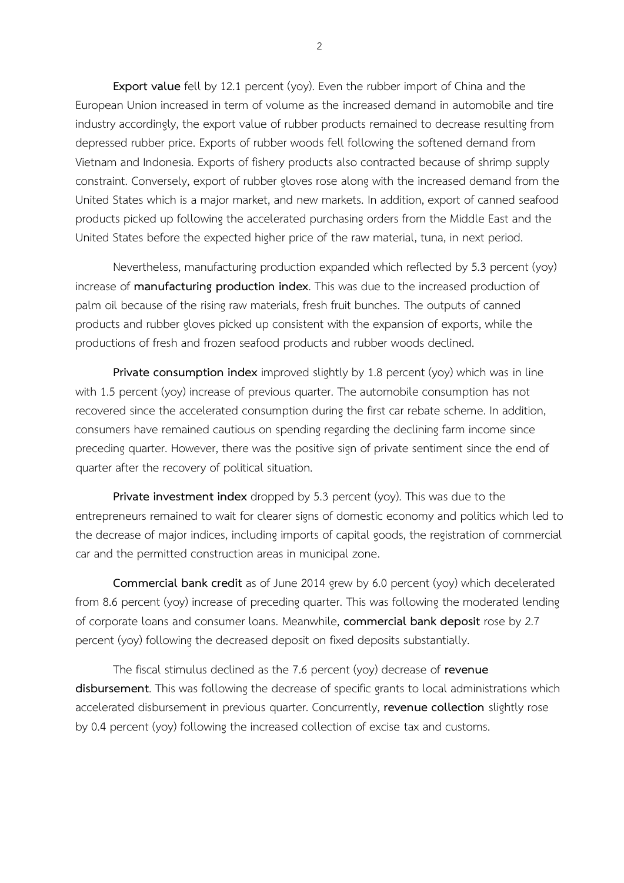**Export value** fell by 12.1 percent (yoy). Even the rubber import of China and the European Union increased in term of volume as the increased demand in automobile and tire industry accordingly, the export value of rubber products remained to decrease resulting from depressed rubber price. Exports of rubber woods fell following the softened demand from Vietnam and Indonesia. Exports of fishery products also contracted because of shrimp supply constraint. Conversely, export of rubber gloves rose along with the increased demand from the United States which is a major market, and new markets. In addition, export of canned seafood products picked up following the accelerated purchasing orders from the Middle East and the United States before the expected higher price of the raw material, tuna, in next period.

Nevertheless, manufacturing production expanded which reflected by 5.3 percent (yoy) increase of **manufacturing production index**. This was due to the increased production of palm oil because of the rising raw materials, fresh fruit bunches. The outputs of canned products and rubber gloves picked up consistent with the expansion of exports, while the productions of fresh and frozen seafood products and rubber woods declined.

**Private consumption index** improved slightly by 1.8 percent (yoy) which was in line with 1.5 percent (yoy) increase of previous quarter. The automobile consumption has not recovered since the accelerated consumption during the first car rebate scheme. In addition, consumers have remained cautious on spending regarding the declining farm income since preceding quarter. However, there was the positive sign of private sentiment since the end of quarter after the recovery of political situation.

**Private investment index** dropped by 5.3 percent (yoy). This was due to the entrepreneurs remained to wait for clearer signs of domestic economy and politics which led to the decrease of major indices, including imports of capital goods, the registration of commercial car and the permitted construction areas in municipal zone.

**Commercial bank credit** as of June 2014 grew by 6.0 percent (yoy) which decelerated from 8.6 percent (yoy) increase of preceding quarter. This was following the moderated lending of corporate loans and consumer loans. Meanwhile, **commercial bank deposit** rose by 2.7 percent (yoy) following the decreased deposit on fixed deposits substantially.

The fiscal stimulus declined as the 7.6 percent (yoy) decrease of **revenue disbursement**. This was following the decrease of specific grants to local administrations which accelerated disbursement in previous quarter. Concurrently, **revenue collection** slightly rose by 0.4 percent (yoy) following the increased collection of excise tax and customs.

2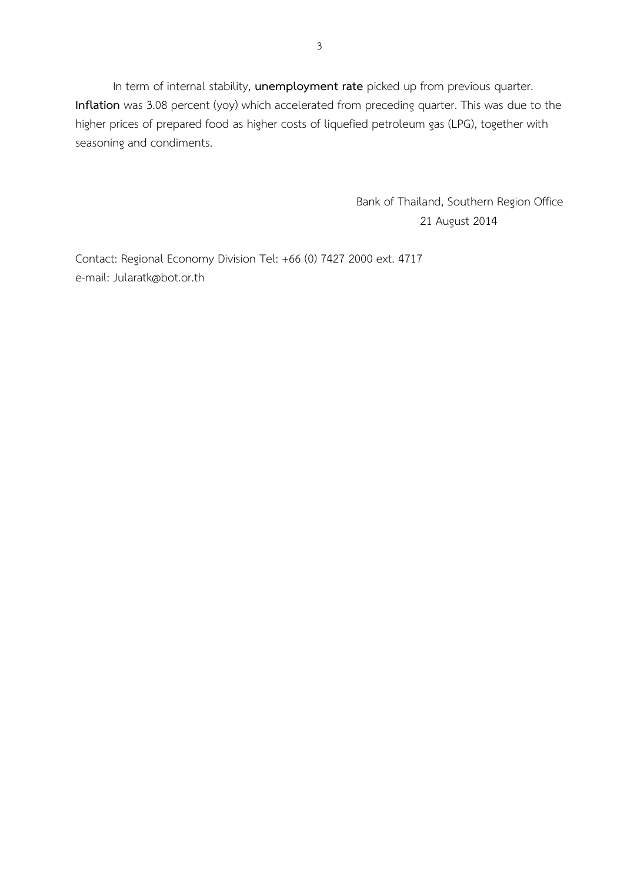In term of internal stability, **unemployment rate** picked up from previous quarter. **Inflation** was 3.08 percent (yoy) which accelerated from preceding quarter. This was due to the higher prices of prepared food as higher costs of liquefied petroleum gas (LPG), together with seasoning and condiments.

> Bank of Thailand, Southern Region Office 21 August 2014

Contact: Regional Economy Division Tel: +66 (0) 7427 2000 ext. 4717 e-mail: Jularatk@bot.or.th